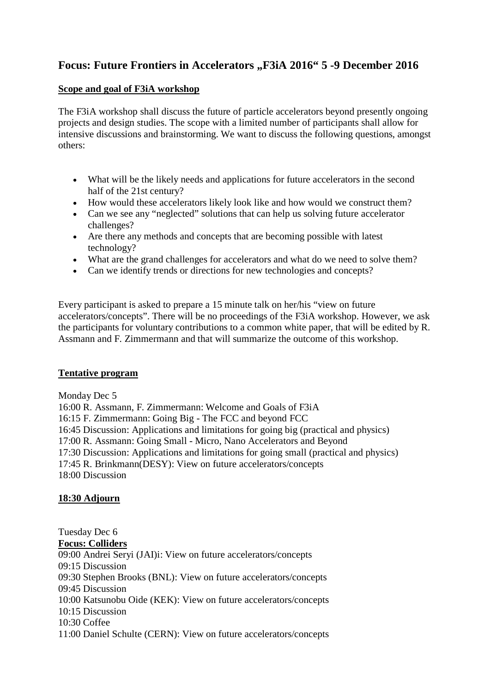# Focus: Future Frontiers in Accelerators "F3iA 2016" 5 -9 December 2016

## **Scope and goal of F3iA workshop**

The F3iA workshop shall discuss the future of particle accelerators beyond presently ongoing projects and design studies. The scope with a limited number of participants shall allow for intensive discussions and brainstorming. We want to discuss the following questions, amongst others:

- What will be the likely needs and applications for future accelerators in the second half of the 21st century?
- How would these accelerators likely look like and how would we construct them?
- Can we see any "neglected" solutions that can help us solving future accelerator challenges?
- Are there any methods and concepts that are becoming possible with latest technology?
- What are the grand challenges for accelerators and what do we need to solve them?
- Can we identify trends or directions for new technologies and concepts?

Every participant is asked to prepare a 15 minute talk on her/his "view on future accelerators/concepts". There will be no proceedings of the F3iA workshop. However, we ask the participants for voluntary contributions to a common white paper, that will be edited by R. Assmann and F. Zimmermann and that will summarize the outcome of this workshop.

## **Tentative program**

## Monday Dec 5

16:00 R. Assmann, F. Zimmermann: Welcome and Goals of F3iA 16:15 F. Zimmermann: Going Big - The FCC and beyond FCC 16:45 Discussion: Applications and limitations for going big (practical and physics) 17:00 R. Assmann: Going Small - Micro, Nano Accelerators and Beyond 17:30 Discussion: Applications and limitations for going small (practical and physics) 17:45 R. Brinkmann(DESY): View on future accelerators/concepts 18:00 Discussion

## **18:30 Adjourn**

Tuesday Dec 6 **Focus: Colliders** 09:00 Andrei Seryi (JAI)i: View on future accelerators/concepts 09:15 Discussion 09:30 Stephen Brooks (BNL): View on future accelerators/concepts 09:45 Discussion 10:00 Katsunobu Oide (KEK): View on future accelerators/concepts 10:15 Discussion 10:30 Coffee 11:00 Daniel Schulte (CERN): View on future accelerators/concepts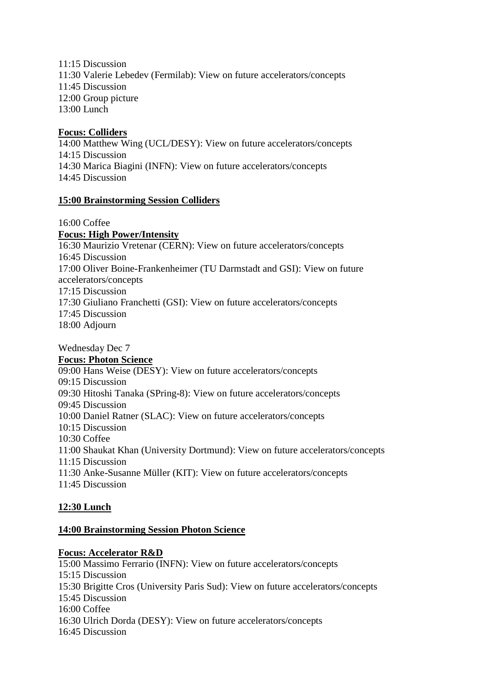11:15 Discussion 11:30 Valerie Lebedev (Fermilab): View on future accelerators/concepts 11:45 Discussion 12:00 Group picture 13:00 Lunch

#### **Focus: Colliders**

14:00 Matthew Wing (UCL/DESY): View on future accelerators/concepts 14:15 Discussion 14:30 Marica Biagini (INFN): View on future accelerators/concepts 14:45 Discussion

## **15:00 Brainstorming Session Colliders**

16:00 Coffee

**Focus: High Power/Intensity**

16:30 Maurizio Vretenar (CERN): View on future accelerators/concepts 16:45 Discussion 17:00 Oliver Boine-Frankenheimer (TU Darmstadt and GSI): View on future accelerators/concepts 17:15 Discussion 17:30 Giuliano Franchetti (GSI): View on future accelerators/concepts 17:45 Discussion 18:00 Adjourn

Wednesday Dec 7 **Focus: Photon Science** 09:00 Hans Weise (DESY): View on future accelerators/concepts 09:15 Discussion 09:30 Hitoshi Tanaka (SPring-8): View on future accelerators/concepts 09:45 Discussion 10:00 Daniel Ratner (SLAC): View on future accelerators/concepts 10:15 Discussion 10:30 Coffee 11:00 Shaukat Khan (University Dortmund): View on future accelerators/concepts 11:15 Discussion 11:30 Anke-Susanne Müller (KIT): View on future accelerators/concepts 11:45 Discussion

## **12:30 Lunch**

#### **14:00 Brainstorming Session Photon Science**

#### **Focus: Accelerator R&D**

15:00 Massimo Ferrario (INFN): View on future accelerators/concepts 15:15 Discussion 15:30 Brigitte Cros (University Paris Sud): View on future accelerators/concepts 15:45 Discussion 16:00 Coffee 16:30 Ulrich Dorda (DESY): View on future accelerators/concepts 16:45 Discussion